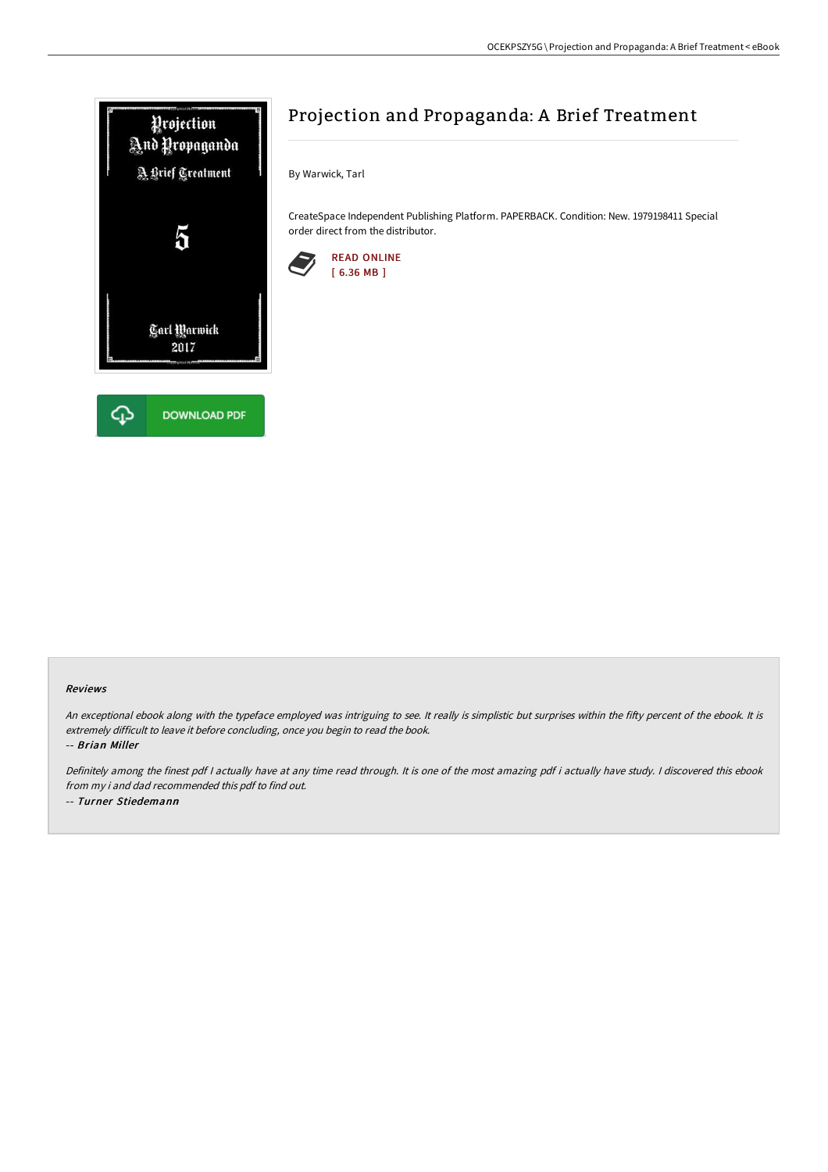

# Projection and Propaganda: A Brief Treatment

By Warwick, Tarl

CreateSpace Independent Publishing Platform. PAPERBACK. Condition: New. 1979198411 Special order direct from the distributor.



#### Reviews

An exceptional ebook along with the typeface employed was intriguing to see. It really is simplistic but surprises within the fifty percent of the ebook. It is extremely difficult to leave it before concluding, once you begin to read the book.

-- Brian Miller

Definitely among the finest pdf <sup>I</sup> actually have at any time read through. It is one of the most amazing pdf i actually have study. <sup>I</sup> discovered this ebook from my i and dad recommended this pdf to find out. -- Turner Stiedemann